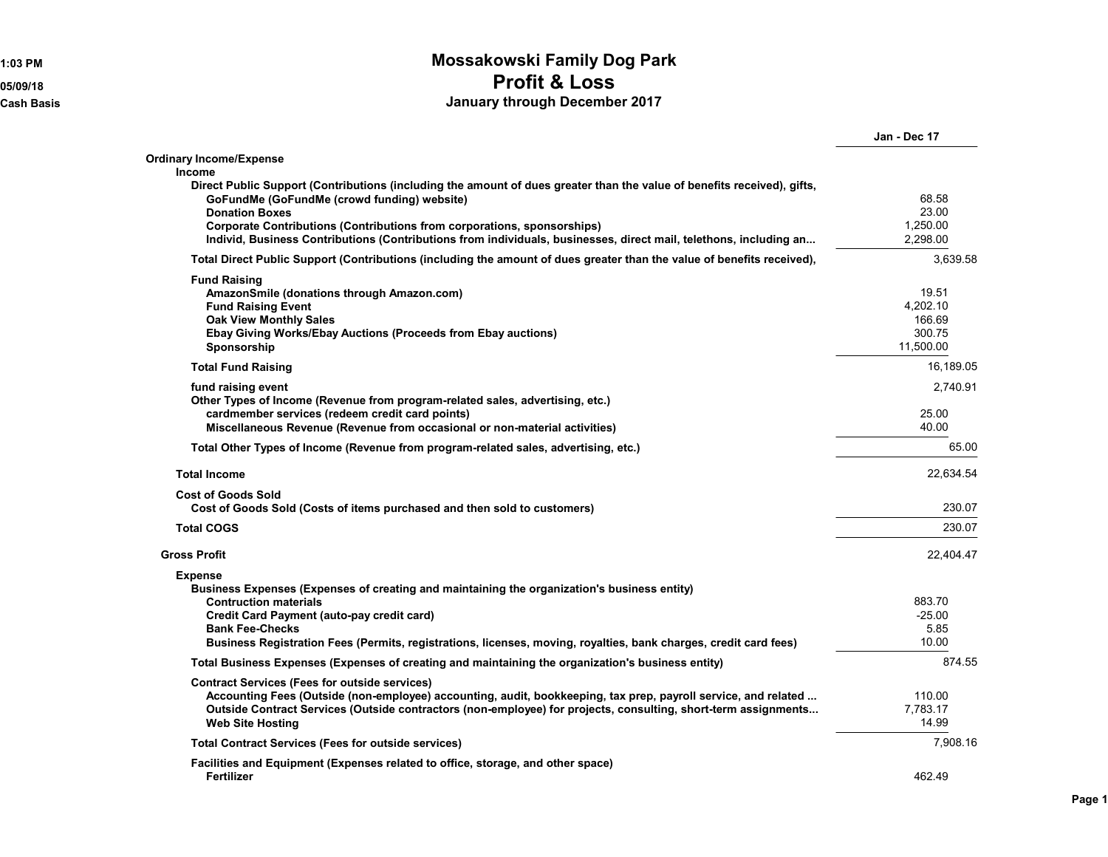## **1:03 PM Mossakowski Family Dog Park 05/09/18 Profit & Loss Cash Basis January through December 2017**

|                                                                                                                         | Jan - Dec 17 |
|-------------------------------------------------------------------------------------------------------------------------|--------------|
| <b>Ordinary Income/Expense</b>                                                                                          |              |
| <b>Income</b>                                                                                                           |              |
| Direct Public Support (Contributions (including the amount of dues greater than the value of benefits received), gifts, |              |
| GoFundMe (GoFundMe (crowd funding) website)                                                                             | 68.58        |
| <b>Donation Boxes</b>                                                                                                   | 23.00        |
| Corporate Contributions (Contributions from corporations, sponsorships)                                                 | 1,250.00     |
| Individ, Business Contributions (Contributions from individuals, businesses, direct mail, telethons, including an       | 2,298.00     |
| Total Direct Public Support (Contributions (including the amount of dues greater than the value of benefits received),  | 3,639.58     |
| <b>Fund Raising</b>                                                                                                     |              |
| AmazonSmile (donations through Amazon.com)                                                                              | 19.51        |
| <b>Fund Raising Event</b>                                                                                               | 4,202.10     |
| <b>Oak View Monthly Sales</b>                                                                                           | 166.69       |
| Ebay Giving Works/Ebay Auctions (Proceeds from Ebay auctions)                                                           | 300.75       |
| Sponsorship                                                                                                             | 11.500.00    |
| <b>Total Fund Raising</b>                                                                                               | 16,189.05    |
| fund raising event                                                                                                      | 2.740.91     |
| Other Types of Income (Revenue from program-related sales, advertising, etc.)                                           |              |
| cardmember services (redeem credit card points)                                                                         | 25.00        |
| Miscellaneous Revenue (Revenue from occasional or non-material activities)                                              | 40.00        |
| Total Other Types of Income (Revenue from program-related sales, advertising, etc.)                                     | 65.00        |
| <b>Total Income</b>                                                                                                     | 22.634.54    |
| <b>Cost of Goods Sold</b>                                                                                               |              |
| Cost of Goods Sold (Costs of items purchased and then sold to customers)                                                | 230.07       |
| <b>Total COGS</b>                                                                                                       | 230.07       |
| <b>Gross Profit</b>                                                                                                     | 22,404.47    |
| <b>Expense</b>                                                                                                          |              |
| Business Expenses (Expenses of creating and maintaining the organization's business entity)                             |              |
| <b>Contruction materials</b>                                                                                            | 883.70       |
| <b>Credit Card Payment (auto-pay credit card)</b>                                                                       | $-25.00$     |
| <b>Bank Fee-Checks</b>                                                                                                  | 5.85         |
| Business Registration Fees (Permits, registrations, licenses, moving, royalties, bank charges, credit card fees)        | 10.00        |
| Total Business Expenses (Expenses of creating and maintaining the organization's business entity)                       | 874.55       |
| <b>Contract Services (Fees for outside services)</b>                                                                    |              |
| Accounting Fees (Outside (non-employee) accounting, audit, bookkeeping, tax prep, payroll service, and related          | 110.00       |
| Outside Contract Services (Outside contractors (non-employee) for projects, consulting, short-term assignments          | 7.783.17     |
| <b>Web Site Hosting</b>                                                                                                 | 14.99        |
| <b>Total Contract Services (Fees for outside services)</b>                                                              | 7,908.16     |
| Facilities and Equipment (Expenses related to office, storage, and other space)                                         |              |
| Fertilizer                                                                                                              | 462.49       |